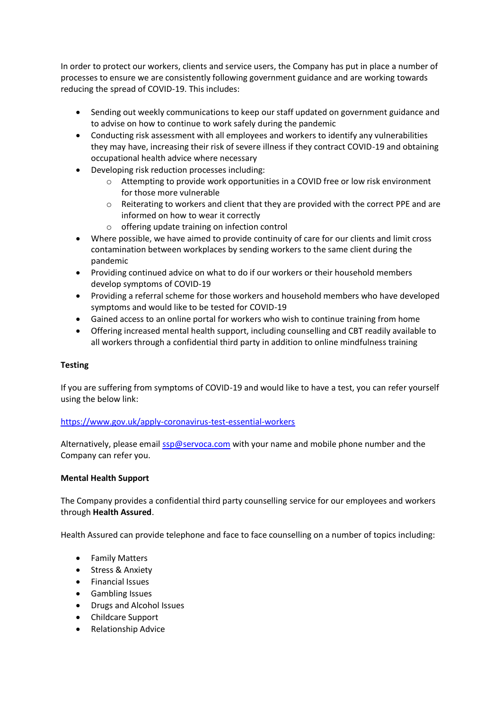In order to protect our workers, clients and service users, the Company has put in place a number of processes to ensure we are consistently following government guidance and are working towards reducing the spread of COVID-19. This includes:

- Sending out weekly communications to keep our staff updated on government guidance and to advise on how to continue to work safely during the pandemic
- Conducting risk assessment with all employees and workers to identify any vulnerabilities they may have, increasing their risk of severe illness if they contract COVID-19 and obtaining occupational health advice where necessary
- Developing risk reduction processes including:
	- $\circ$  Attempting to provide work opportunities in a COVID free or low risk environment for those more vulnerable
	- $\circ$  Reiterating to workers and client that they are provided with the correct PPE and are informed on how to wear it correctly
	- o offering update training on infection control
- Where possible, we have aimed to provide continuity of care for our clients and limit cross contamination between workplaces by sending workers to the same client during the pandemic
- Providing continued advice on what to do if our workers or their household members develop symptoms of COVID-19
- Providing a referral scheme for those workers and household members who have developed symptoms and would like to be tested for COVID-19
- Gained access to an online portal for workers who wish to continue training from home
- Offering increased mental health support, including counselling and CBT readily available to all workers through a confidential third party in addition to online mindfulness training

## **Testing**

If you are suffering from symptoms of COVID-19 and would like to have a test, you can refer yourself using the below link:

## <https://www.gov.uk/apply-coronavirus-test-essential-workers>

Alternatively, please emai[l ssp@servoca.com](mailto:ssp@servoca.com) with your name and mobile phone number and the Company can refer you.

## **Mental Health Support**

The Company provides a confidential third party counselling service for our employees and workers through **Health Assured**.

Health Assured can provide telephone and face to face counselling on a number of topics including:

- Family Matters
- Stress & Anxiety
- Financial Issues
- Gambling Issues
- Drugs and Alcohol Issues
- Childcare Support
- Relationship Advice